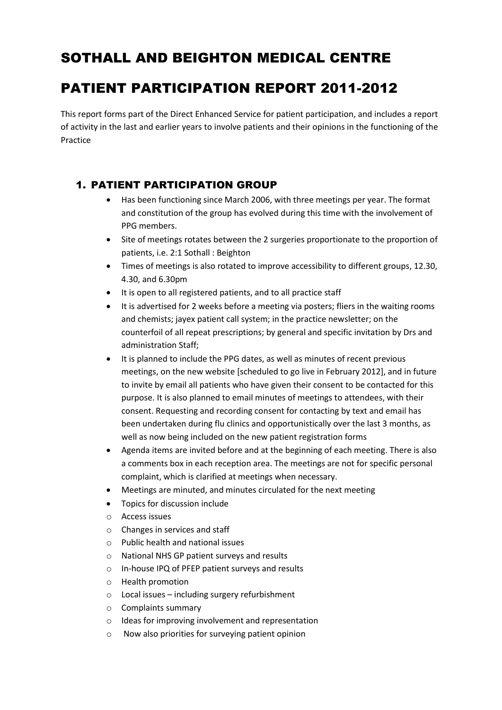# SOTHALL AND BEIGHTON MEDICAL CENTRE

# PATIENT PARTICIPATION REPORT 2011-2012

This report forms part of the Direct Enhanced Service for patient participation, and includes a report of activity in the last and earlier years to involve patients and their opinions in the functioning of the Practice

### 1. PATIENT PARTICIPATION GROUP

- Has been functioning since March 2006, with three meetings per year. The format and constitution of the group has evolved during this time with the involvement of PPG members.
- Site of meetings rotates between the 2 surgeries proportionate to the proportion of patients, i.e. 2:1 Sothall : Beighton
- Times of meetings is also rotated to improve accessibility to different groups, 12.30, 4.30, and 6.30pm
- It is open to all registered patients, and to all practice staff
- It is advertised for 2 weeks before a meeting via posters; fliers in the waiting rooms and chemists; jayex patient call system; in the practice newsletter; on the counterfoil of all repeat prescriptions; by general and specific invitation by Drs and administration Staff;
- It is planned to include the PPG dates, as well as minutes of recent previous meetings, on the new website [scheduled to go live in February 2012], and in future to invite by email all patients who have given their consent to be contacted for this purpose. It is also planned to email minutes of meetings to attendees, with their consent. Requesting and recording consent for contacting by text and email has been undertaken during flu clinics and opportunistically over the last 3 months, as well as now being included on the new patient registration forms
- Agenda items are invited before and at the beginning of each meeting. There is also a comments box in each reception area. The meetings are not for specific personal complaint, which is clarified at meetings when necessary.
- Meetings are minuted, and minutes circulated for the next meeting
- Topics for discussion include
- o Access issues
- o Changes in services and staff
- o Public health and national issues
- o National NHS GP patient surveys and results
- o In-house IPQ of PFEP patient surveys and results
- o Health promotion
- o Local issues including surgery refurbishment
- o Complaints summary
- o Ideas for improving involvement and representation
- o Now also priorities for surveying patient opinion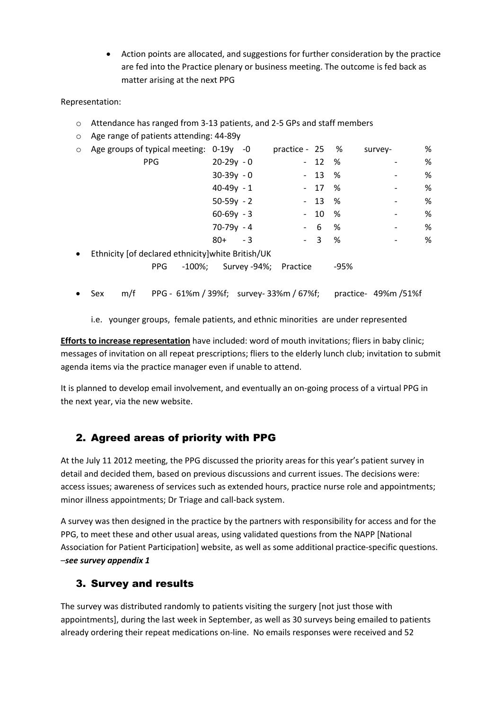Action points are allocated, and suggestions for further consideration by the practice are fed into the Practice plenary or business meeting. The outcome is fed back as matter arising at the next PPG

### Representation:

- o Attendance has ranged from 3-13 patients, and 2-5 GPs and staff members
- o Age range of patients attending: 44-89y

|            |     |           |                                                                                                                                                                                                                      |          |             | survey-                                                                | % |
|------------|-----|-----------|----------------------------------------------------------------------------------------------------------------------------------------------------------------------------------------------------------------------|----------|-------------|------------------------------------------------------------------------|---|
| <b>PPG</b> |     |           |                                                                                                                                                                                                                      |          |             |                                                                        | % |
|            |     |           |                                                                                                                                                                                                                      |          |             |                                                                        | % |
|            |     |           |                                                                                                                                                                                                                      |          |             |                                                                        | % |
|            |     |           |                                                                                                                                                                                                                      |          |             |                                                                        | % |
|            |     |           |                                                                                                                                                                                                                      |          |             |                                                                        | % |
|            |     |           |                                                                                                                                                                                                                      |          | %           |                                                                        | % |
|            | 80+ |           |                                                                                                                                                                                                                      |          | %           |                                                                        | % |
|            |     |           |                                                                                                                                                                                                                      |          |             |                                                                        |   |
| <b>PPG</b> |     |           |                                                                                                                                                                                                                      |          | $-95%$      |                                                                        |   |
|            |     | $-100\%;$ | Age groups of typical meeting: 0-19y -0<br>$20-29y - 0$<br>$30-39y - 0$<br>$40-49y - 1$<br>$50-59y - 2$<br>$60-69y - 3$<br>$70-79y - 4$<br>- 3<br>Ethnicity [of declared ethnicity] white British/UK<br>Survey -94%; | Practice | - 6<br>$-3$ | practice - 25 %<br>$-12$ %<br>$-13$ %<br>$-17$ %<br>$-13$ %<br>$-10\%$ | - |

Sex m/f PPG - 61%m / 39%f; survey- 33%m / 67%f; practice- 49%m /51%f

i.e. younger groups, female patients, and ethnic minorities are under represented

**Efforts to increase representation** have included: word of mouth invitations; fliers in baby clinic; messages of invitation on all repeat prescriptions; fliers to the elderly lunch club; invitation to submit agenda items via the practice manager even if unable to attend.

It is planned to develop email involvement, and eventually an on-going process of a virtual PPG in the next year, via the new website.

### 2. Agreed areas of priority with PPG

At the July 11 2012 meeting, the PPG discussed the priority areas for this year's patient survey in detail and decided them, based on previous discussions and current issues. The decisions were: access issues; awareness of services such as extended hours, practice nurse role and appointments; minor illness appointments; Dr Triage and call-back system.

A survey was then designed in the practice by the partners with responsibility for access and for the PPG, to meet these and other usual areas, using validated questions from the NAPP [National Association for Patient Participation] website, as well as some additional practice-specific questions. –*see survey appendix 1*

### 3. Survey and results

The survey was distributed randomly to patients visiting the surgery [not just those with appointments], during the last week in September, as well as 30 surveys being emailed to patients already ordering their repeat medications on-line. No emails responses were received and 52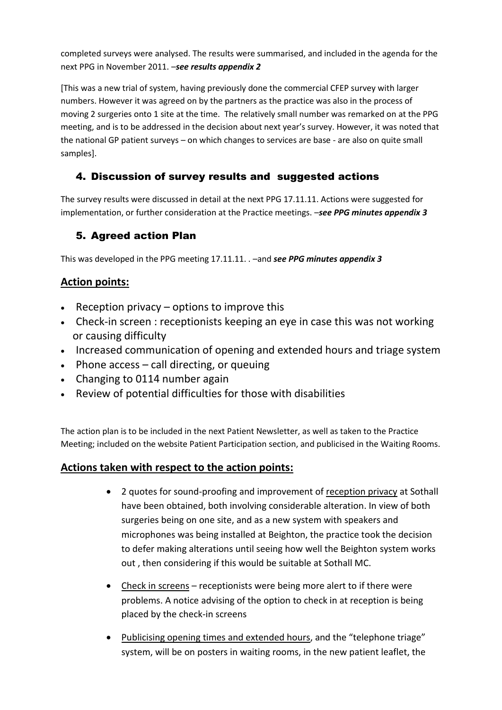completed surveys were analysed. The results were summarised, and included in the agenda for the next PPG in November 2011. –*see results appendix 2*

[This was a new trial of system, having previously done the commercial CFEP survey with larger numbers. However it was agreed on by the partners as the practice was also in the process of moving 2 surgeries onto 1 site at the time. The relatively small number was remarked on at the PPG meeting, and is to be addressed in the decision about next year's survey. However, it was noted that the national GP patient surveys – on which changes to services are base - are also on quite small samples].

## 4. Discussion of survey results and suggested actions

The survey results were discussed in detail at the next PPG 17.11.11. Actions were suggested for implementation, or further consideration at the Practice meetings. –*see PPG minutes appendix 3*

## 5. Agreed action Plan

This was developed in the PPG meeting 17.11.11. . –and *see PPG minutes appendix 3*

## **Action points:**

- $\cdot$  Reception privacy options to improve this
- Check-in screen : receptionists keeping an eye in case this was not working or causing difficulty
- Increased communication of opening and extended hours and triage system
- $\bullet$  Phone access call directing, or queuing
- Changing to 0114 number again
- Review of potential difficulties for those with disabilities

The action plan is to be included in the next Patient Newsletter, as well as taken to the Practice Meeting; included on the website Patient Participation section, and publicised in the Waiting Rooms.

### **Actions taken with respect to the action points:**

- 2 quotes for sound-proofing and improvement of reception privacy at Sothall have been obtained, both involving considerable alteration. In view of both surgeries being on one site, and as a new system with speakers and microphones was being installed at Beighton, the practice took the decision to defer making alterations until seeing how well the Beighton system works out , then considering if this would be suitable at Sothall MC.
- Check in screens receptionists were being more alert to if there were problems. A notice advising of the option to check in at reception is being placed by the check-in screens
- Publicising opening times and extended hours, and the "telephone triage" system, will be on posters in waiting rooms, in the new patient leaflet, the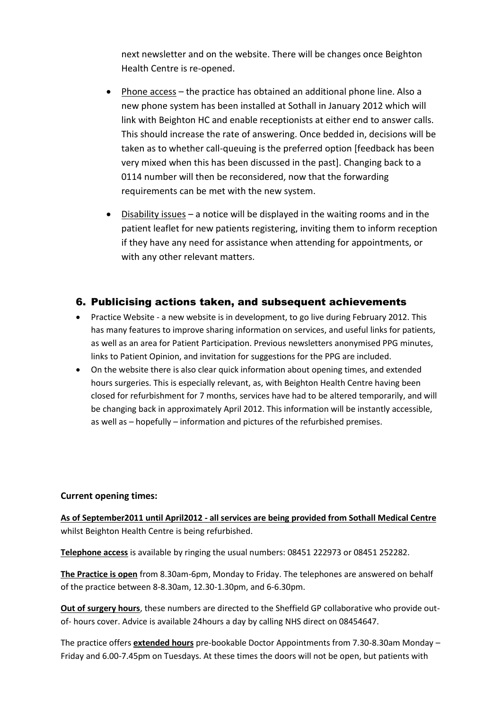next newsletter and on the website. There will be changes once Beighton Health Centre is re-opened.

- Phone access the practice has obtained an additional phone line. Also a new phone system has been installed at Sothall in January 2012 which will link with Beighton HC and enable receptionists at either end to answer calls. This should increase the rate of answering. Once bedded in, decisions will be taken as to whether call-queuing is the preferred option [feedback has been very mixed when this has been discussed in the past]. Changing back to a 0114 number will then be reconsidered, now that the forwarding requirements can be met with the new system.
- Disability issues a notice will be displayed in the waiting rooms and in the patient leaflet for new patients registering, inviting them to inform reception if they have any need for assistance when attending for appointments, or with any other relevant matters.

### 6. Publicising actions taken, and subsequent achievements

- Practice Website a new website is in development, to go live during February 2012. This has many features to improve sharing information on services, and useful links for patients, as well as an area for Patient Participation. Previous newsletters anonymised PPG minutes, links to Patient Opinion, and invitation for suggestions for the PPG are included.
- On the website there is also clear quick information about opening times, and extended hours surgeries. This is especially relevant, as, with Beighton Health Centre having been closed for refurbishment for 7 months, services have had to be altered temporarily, and will be changing back in approximately April 2012. This information will be instantly accessible, as well as – hopefully – information and pictures of the refurbished premises.

#### **Current opening times:**

**As of September2011 until April2012 - all services are being provided from Sothall Medical Centre** whilst Beighton Health Centre is being refurbished.

**Telephone access** is available by ringing the usual numbers: 08451 222973 or 08451 252282.

**The Practice is open** from 8.30am-6pm, Monday to Friday. The telephones are answered on behalf of the practice between 8-8.30am, 12.30-1.30pm, and 6-6.30pm.

**Out of surgery hours**, these numbers are directed to the Sheffield GP collaborative who provide outof- hours cover. Advice is available 24hours a day by calling NHS direct on 08454647.

The practice offers **extended hours** pre-bookable Doctor Appointments from 7.30-8.30am Monday – Friday and 6.00-7.45pm on Tuesdays. At these times the doors will not be open, but patients with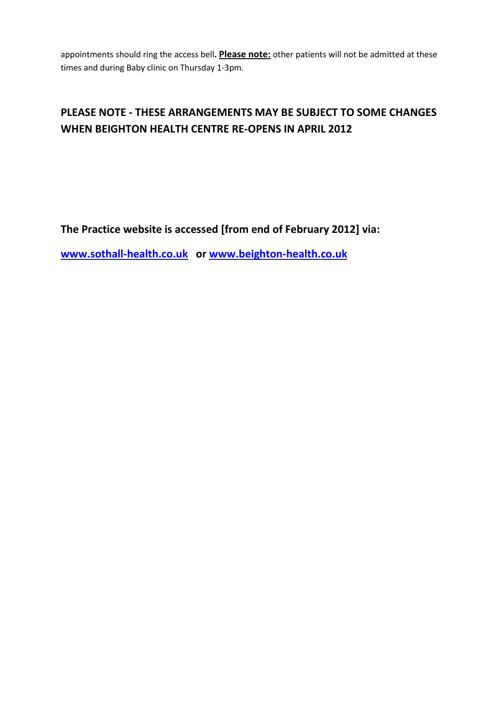appointments should ring the access bell**. Please note:** other patients will not be admitted at these times and during Baby clinic on Thursday 1-3pm.

## **PLEASE NOTE - THESE ARRANGEMENTS MAY BE SUBJECT TO SOME CHANGES WHEN BEIGHTON HEALTH CENTRE RE-OPENS IN APRIL 2012**

## **The Practice website is accessed [from end of February 2012] via:**

**[www.sothall-health.co.uk](http://www.sothall-health.co.uk/) or [www.beighton-health.co.uk](http://www.beighton-health.co.uk/)**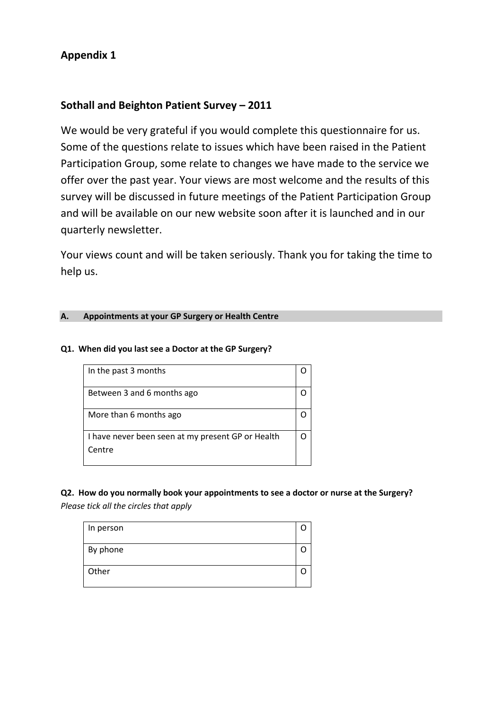## **Appendix 1**

## **Sothall and Beighton Patient Survey – 2011**

We would be very grateful if you would complete this questionnaire for us. Some of the questions relate to issues which have been raised in the Patient Participation Group, some relate to changes we have made to the service we offer over the past year. Your views are most welcome and the results of this survey will be discussed in future meetings of the Patient Participation Group and will be available on our new website soon after it is launched and in our quarterly newsletter.

Your views count and will be taken seriously. Thank you for taking the time to help us.

### **A. Appointments at your GP Surgery or Health Centre**

### **Q1. When did you last see a Doctor at the GP Surgery?**

| In the past 3 months                                        |  |
|-------------------------------------------------------------|--|
| Between 3 and 6 months ago                                  |  |
| More than 6 months ago                                      |  |
| I have never been seen at my present GP or Health<br>Centre |  |

# **Q2. How do you normally book your appointments to see a doctor or nurse at the Surgery?**

*Please tick all the circles that apply*

| In person |  |
|-----------|--|
|           |  |
| By phone  |  |
| Other     |  |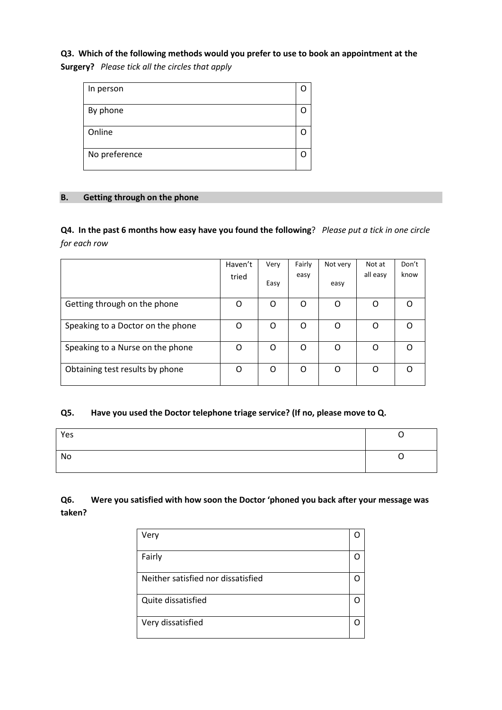### **Q3. Which of the following methods would you prefer to use to book an appointment at the**

**Surgery?** *Please tick all the circles that apply*

| In person     |  |
|---------------|--|
| By phone      |  |
| Online        |  |
| No preference |  |

#### **B. Getting through on the phone**

**Q4. In the past 6 months how easy have you found the following**? *Please put a tick in one circle for each row*

|                                   | Haven't<br>tried | Very<br>Easy | Fairly<br>easy | Not very<br>easy | Not at<br>all easy | Don't<br>know |
|-----------------------------------|------------------|--------------|----------------|------------------|--------------------|---------------|
| Getting through on the phone      | O                | O            | O              | O                | O                  | O             |
| Speaking to a Doctor on the phone | O                | O            | O              | O                | O                  | ∩             |
| Speaking to a Nurse on the phone  | O                | O            | O              | O                | O                  | ∩             |
| Obtaining test results by phone   | O                | O            | O              | O                | O                  |               |

#### **Q5. Have you used the Doctor telephone triage service? (If no, please move to Q.**

| Yes |  |
|-----|--|
| No  |  |

### **Q6. Were you satisfied with how soon the Doctor 'phoned you back after your message was taken?**

| Very                               |  |
|------------------------------------|--|
| Fairly                             |  |
| Neither satisfied nor dissatisfied |  |
| Quite dissatisfied                 |  |
| Very dissatisfied                  |  |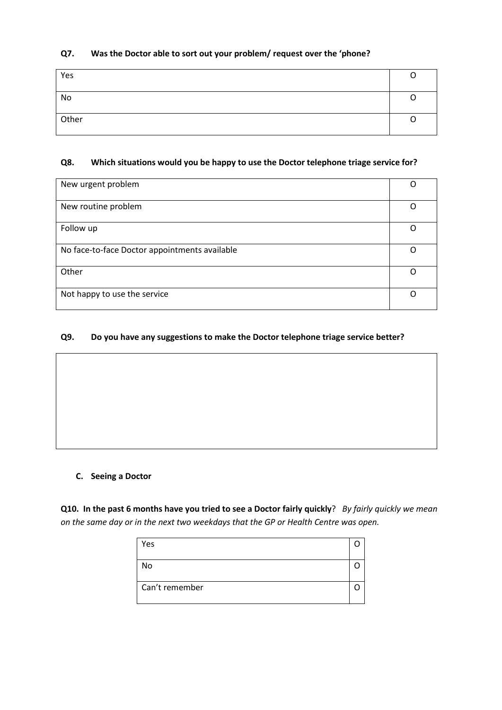### **Q7. Was the Doctor able to sort out your problem/ request over the 'phone?**

| Yes   |  |
|-------|--|
| No    |  |
| Other |  |

### **Q8. Which situations would you be happy to use the Doctor telephone triage service for?**

| New urgent problem                            |  |
|-----------------------------------------------|--|
| New routine problem                           |  |
|                                               |  |
| Follow up                                     |  |
|                                               |  |
| No face-to-face Doctor appointments available |  |
|                                               |  |
| Other                                         |  |
|                                               |  |
| Not happy to use the service                  |  |

#### **Q9. Do you have any suggestions to make the Doctor telephone triage service better?**

#### **C. Seeing a Doctor**

**Q10. In the past 6 months have you tried to see a Doctor fairly quickly**? *By fairly quickly we mean on the same day or in the next two weekdays that the GP or Health Centre was open.*

| Yes            |  |
|----------------|--|
| No             |  |
| Can't remember |  |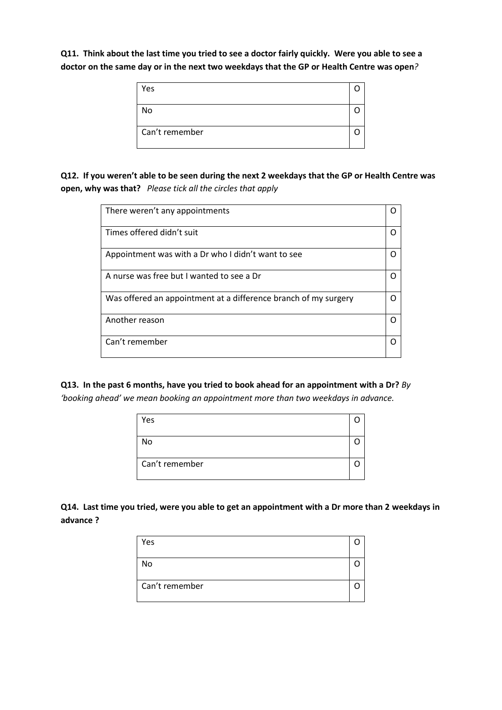**Q11. Think about the last time you tried to see a doctor fairly quickly. Were you able to see a doctor on the same day or in the next two weekdays that the GP or Health Centre was open***?*

| Yes            |  |
|----------------|--|
| No             |  |
| Can't remember |  |

**Q12. If you weren't able to be seen during the next 2 weekdays that the GP or Health Centre was open, why was that?** *Please tick all the circles that apply*

| There weren't any appointments                                  |  |
|-----------------------------------------------------------------|--|
| Times offered didn't suit                                       |  |
| Appointment was with a Dr who I didn't want to see              |  |
| A nurse was free but I wanted to see a Dr                       |  |
| Was offered an appointment at a difference branch of my surgery |  |
| Another reason                                                  |  |
| Can't remember                                                  |  |

**Q13. In the past 6 months, have you tried to book ahead for an appointment with a Dr?** *By* 

*'booking ahead' we mean booking an appointment more than two weekdays in advance.*

| Yes            |  |
|----------------|--|
| No             |  |
| Can't remember |  |

**Q14. Last time you tried, were you able to get an appointment with a Dr more than 2 weekdays in advance ?** 

| Yes            |  |
|----------------|--|
| No             |  |
| Can't remember |  |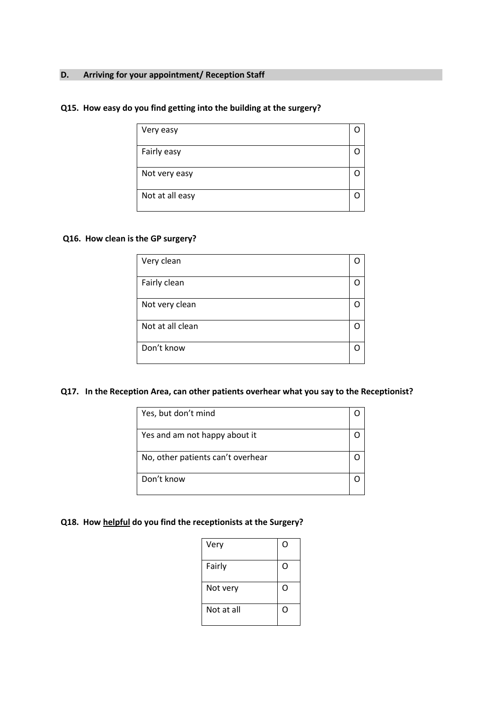#### **D. Arriving for your appointment/ Reception Staff**

#### **Q15. How easy do you find getting into the building at the surgery?**

| Very easy       |  |
|-----------------|--|
| Fairly easy     |  |
| Not very easy   |  |
| Not at all easy |  |

#### **Q16. How clean is the GP surgery?**

| Very clean       |  |
|------------------|--|
| Fairly clean     |  |
| Not very clean   |  |
| Not at all clean |  |
| Don't know       |  |

#### **Q17. In the Reception Area, can other patients overhear what you say to the Receptionist?**

| Yes, but don't mind               |  |
|-----------------------------------|--|
| Yes and am not happy about it     |  |
| No, other patients can't overhear |  |
| Don't know                        |  |

### **Q18. How helpful do you find the receptionists at the Surgery?**

| Very       | $\mathbf C$ |
|------------|-------------|
| Fairly     | $\mathbf C$ |
| Not very   | O           |
| Not at all | C           |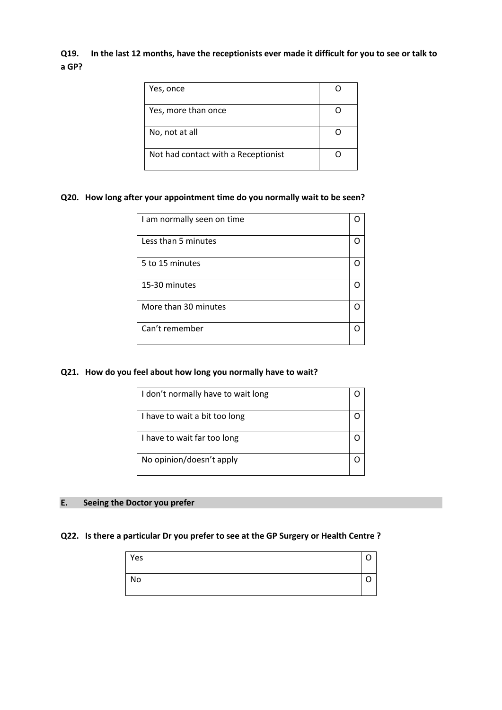### **Q19. In the last 12 months, have the receptionists ever made it difficult for you to see or talk to a GP?**

| Yes, once                           |  |
|-------------------------------------|--|
| Yes, more than once                 |  |
| No, not at all                      |  |
| Not had contact with a Receptionist |  |

#### **Q20. How long after your appointment time do you normally wait to be seen?**

| I am normally seen on time |  |
|----------------------------|--|
| Less than 5 minutes        |  |
| 5 to 15 minutes            |  |
| 15-30 minutes              |  |
| More than 30 minutes       |  |
| Can't remember             |  |

#### **Q21. How do you feel about how long you normally have to wait?**

| I don't normally have to wait long |  |
|------------------------------------|--|
| I have to wait a bit too long      |  |
| I have to wait far too long        |  |
| No opinion/doesn't apply           |  |

#### **E. Seeing the Doctor you prefer**

#### **Q22. Is there a particular Dr you prefer to see at the GP Surgery or Health Centre ?**

| Yes |  |
|-----|--|
| No  |  |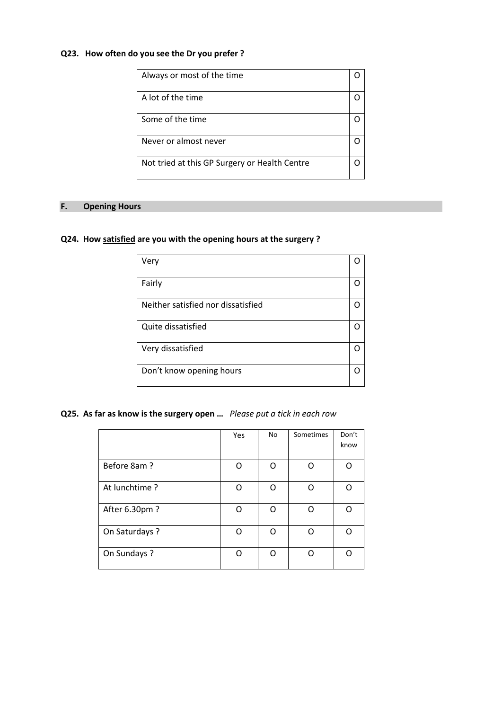#### **Q23. How often do you see the Dr you prefer ?**

| Always or most of the time                    |  |
|-----------------------------------------------|--|
| A lot of the time                             |  |
| Some of the time                              |  |
| Never or almost never                         |  |
| Not tried at this GP Surgery or Health Centre |  |

### **F. Opening Hours**

### **Q24. How satisfied are you with the opening hours at the surgery ?**

| Very                               |     |
|------------------------------------|-----|
| Fairly                             | 0   |
| Neither satisfied nor dissatisfied | ( ) |
| Quite dissatisfied                 |     |
| Very dissatisfied                  | ( ) |
| Don't know opening hours           | ( ) |

**Q25. As far as know is the surgery open …** *Please put a tick in each row*

|                | Yes | No | Sometimes | Don't |
|----------------|-----|----|-----------|-------|
|                |     |    |           | know  |
| Before 8am?    | ∩   | n  | റ         | ∩     |
| At lunchtime?  | n   | n  | ∩         | ∩     |
| After 6.30pm ? | ∩   | റ  | റ         | ∩     |
| On Saturdays ? | ∩   | O  | ∩         | ∩     |
| On Sundays ?   |     |    | ∩         |       |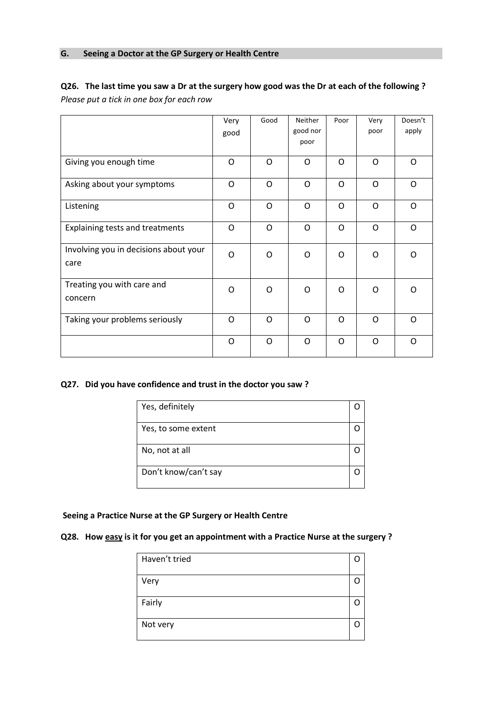### **Q26. The last time you saw a Dr at the surgery how good was the Dr at each of the following ?**  *Please put a tick in one box for each row*

|                                               | Very<br>good | Good     | <b>Neither</b><br>good nor<br>poor | Poor | Very<br>poor | Doesn't<br>apply |
|-----------------------------------------------|--------------|----------|------------------------------------|------|--------------|------------------|
| Giving you enough time                        | O            | O        | O                                  | O    | $\Omega$     | $\Omega$         |
| Asking about your symptoms                    | O            | O        | O                                  | O    | O            | O                |
| Listening                                     | O            | $\Omega$ | O                                  | O    | $\Omega$     | $\Omega$         |
| Explaining tests and treatments               | O            | O        | O                                  | O    | O            | $\Omega$         |
| Involving you in decisions about your<br>care | O            | $\Omega$ | O                                  | O    | $\Omega$     | $\Omega$         |
| Treating you with care and<br>concern         | O            | O        | O                                  | O    | O            | O                |
| Taking your problems seriously                | O            | O        | O                                  | O    | $\Omega$     | $\Omega$         |
|                                               | O            | O        | O                                  | O    | O            | O                |

#### **Q27. Did you have confidence and trust in the doctor you saw ?**

| Yes, definitely      |  |
|----------------------|--|
| Yes, to some extent  |  |
| No, not at all       |  |
| Don't know/can't say |  |

#### **Seeing a Practice Nurse at the GP Surgery or Health Centre**

### **Q28. How easy is it for you get an appointment with a Practice Nurse at the surgery ?**

| Haven't tried |  |
|---------------|--|
| Very          |  |
| Fairly        |  |
| Not very      |  |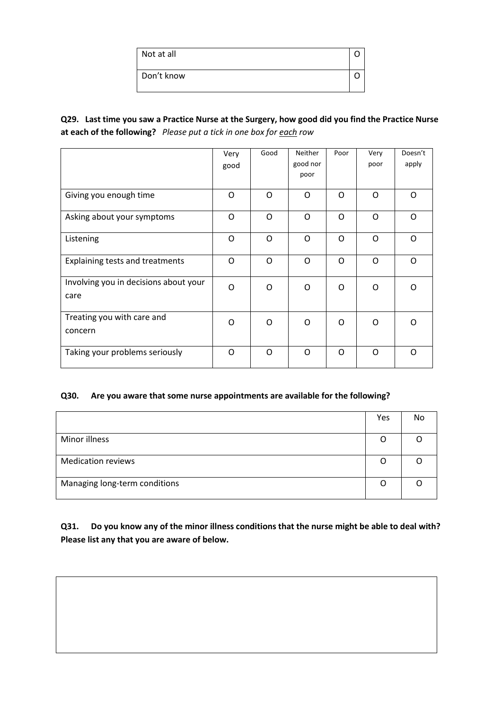| Not at all |  |
|------------|--|
| Don't know |  |

**Q29. Last time you saw a Practice Nurse at the Surgery, how good did you find the Practice Nurse at each of the following?** *Please put a tick in one box for each row*

|                                               | Very | Good     | Neither          | Poor | Very     | Doesn't |
|-----------------------------------------------|------|----------|------------------|------|----------|---------|
|                                               | good |          | good nor<br>poor |      | poor     | apply   |
|                                               |      |          |                  |      |          |         |
| Giving you enough time                        | O    | O        | O                | O    | $\Omega$ | O       |
| Asking about your symptoms                    | O    | $\Omega$ | $\Omega$         | O    | $\Omega$ | O       |
| Listening                                     | O    | $\Omega$ | $\Omega$         | O    | $\Omega$ | O       |
| Explaining tests and treatments               | O    | O        | O                | O    | $\Omega$ | O       |
| Involving you in decisions about your<br>care | O    | O        | O                | O    | $\Omega$ | O       |
|                                               |      |          |                  |      |          |         |
| Treating you with care and                    | O    | O        | O                | O    | $\Omega$ | O       |
| concern                                       |      |          |                  |      |          |         |
| Taking your problems seriously                | O    | O        | O                | O    | O        | O       |

#### **Q30. Are you aware that some nurse appointments are available for the following?**

|                               | Yes | No |
|-------------------------------|-----|----|
|                               |     |    |
| Minor illness                 | O   |    |
|                               |     |    |
| <b>Medication reviews</b>     | O   |    |
|                               |     |    |
| Managing long-term conditions | O   |    |
|                               |     |    |

**Q31. Do you know any of the minor illness conditions that the nurse might be able to deal with? Please list any that you are aware of below.**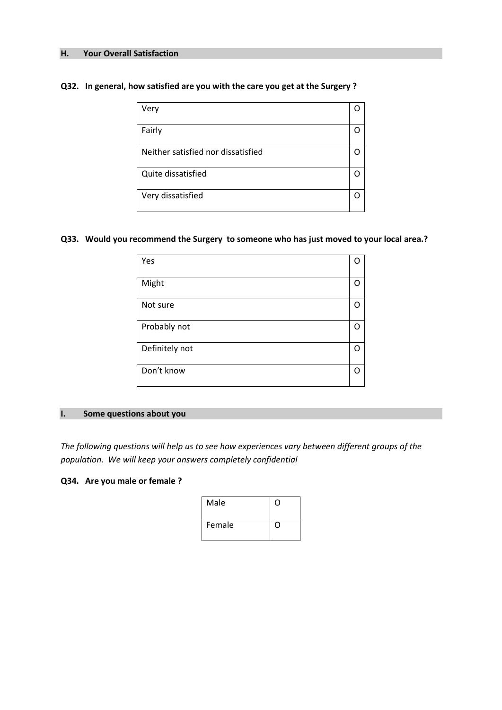#### **H. Your Overall Satisfaction**

#### **Q32. In general, how satisfied are you with the care you get at the Surgery ?**

| Very                               |  |
|------------------------------------|--|
| Fairly                             |  |
| Neither satisfied nor dissatisfied |  |
| Quite dissatisfied                 |  |
| Very dissatisfied                  |  |

#### **Q33. Would you recommend the Surgery to someone who has just moved to your local area.?**

| Yes            | ∩ |
|----------------|---|
| Might          | n |
| Not sure       |   |
| Probably not   |   |
| Definitely not |   |
| Don't know     | n |

#### **I. Some questions about you**

*The following questions will help us to see how experiences vary between different groups of the population. We will keep your answers completely confidential*

#### **Q34. Are you male or female ?**

| Male   | 0 |
|--------|---|
| Female | 0 |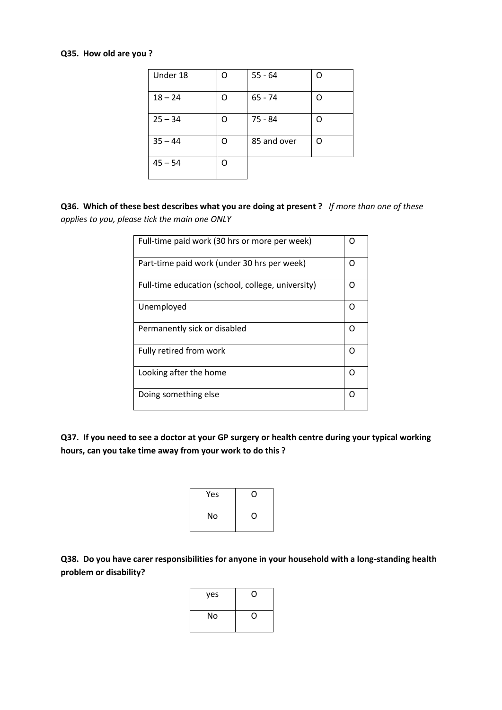#### **Q35. How old are you ?**

| Under 18  | റ | $55 - 64$   | Ω |
|-----------|---|-------------|---|
| $18 - 24$ | Ω | $65 - 74$   | O |
| $25 - 34$ | O | 75 - 84     | റ |
| $35 - 44$ | റ | 85 and over | Ω |
| $45 - 54$ | റ |             |   |

**Q36. Which of these best describes what you are doing at present ?** *If more than one of these applies to you, please tick the main one ONLY*

| Full-time paid work (30 hrs or more per week)     |   |
|---------------------------------------------------|---|
| Part-time paid work (under 30 hrs per week)       | Ω |
| Full-time education (school, college, university) | Ω |
| Unemployed                                        | Ω |
| Permanently sick or disabled                      | Ω |
| Fully retired from work                           | ∩ |
| Looking after the home                            | Ω |
| Doing something else                              | С |

**Q37. If you need to see a doctor at your GP surgery or health centre during your typical working hours, can you take time away from your work to do this ?**

| Yes | U) |
|-----|----|
| No  | 0  |

**Q38. Do you have carer responsibilities for anyone in your household with a long-standing health problem or disability?**

| yes |   |
|-----|---|
|     |   |
| No  | 0 |
|     |   |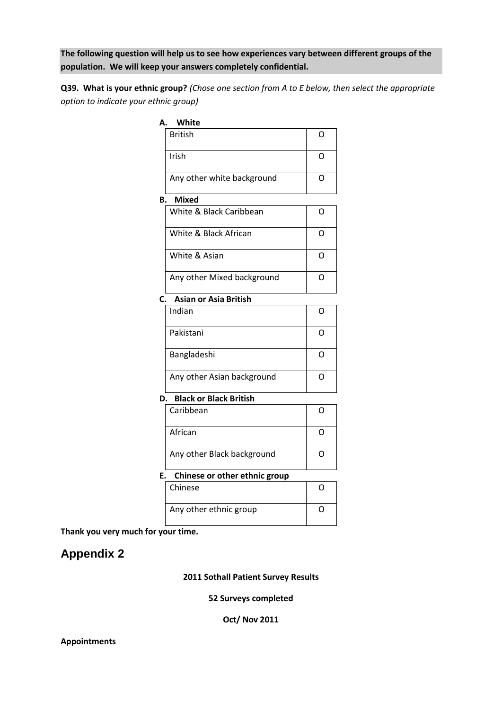**The following question will help us to see how experiences vary between different groups of the population. We will keep your answers completely confidential.**

**Q39. What is your ethnic group?** *(Chose one section from A to E below, then select the appropriate option to indicate your ethnic group)*

| А. | White                         |   |
|----|-------------------------------|---|
|    | <b>British</b>                | O |
|    | Irish                         | O |
|    | Any other white background    | O |
| В. | <b>Mixed</b>                  |   |
|    | White & Black Caribbean       | O |
|    | White & Black African         | O |
|    | White & Asian                 | O |
|    | Any other Mixed background    | Ω |
| C. | Asian or Asia British         |   |
|    | Indian                        | O |
|    | Pakistani                     | O |
|    | Bangladeshi                   | Ω |
|    | Any other Asian background    | O |
| D. | <b>Black or Black British</b> |   |
|    | Caribbean                     | O |
|    | African                       | Ω |
|    | Any other Black background    | O |
| F. | Chinese or other ethnic group |   |
|    | Chinese                       | Ω |
|    | Any other ethnic group        | O |
|    |                               |   |

**Thank you very much for your time.** 

# **Appendix 2**

**2011 Sothall Patient Survey Results**

**52 Surveys completed**

**Oct/ Nov 2011**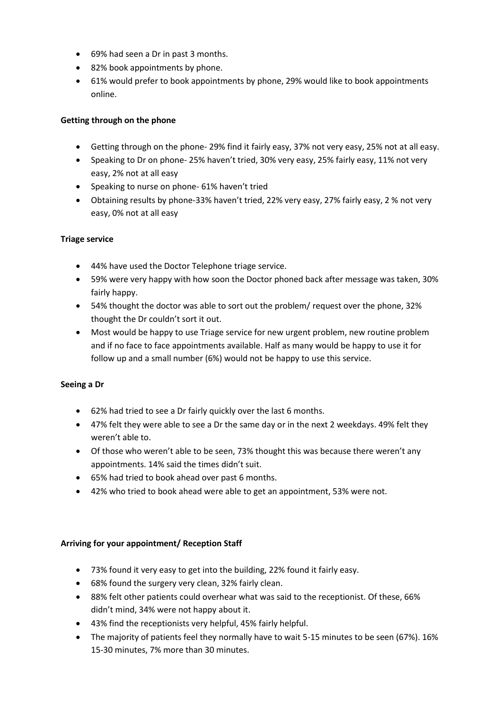- 69% had seen a Dr in past 3 months.
- 82% book appointments by phone.
- 61% would prefer to book appointments by phone, 29% would like to book appointments online.

#### **Getting through on the phone**

- Getting through on the phone- 29% find it fairly easy, 37% not very easy, 25% not at all easy.
- Speaking to Dr on phone- 25% haven't tried, 30% very easy, 25% fairly easy, 11% not very easy, 2% not at all easy
- Speaking to nurse on phone- 61% haven't tried
- Obtaining results by phone-33% haven't tried, 22% very easy, 27% fairly easy, 2 % not very easy, 0% not at all easy

#### **Triage service**

- 44% have used the Doctor Telephone triage service.
- 59% were very happy with how soon the Doctor phoned back after message was taken, 30% fairly happy.
- 54% thought the doctor was able to sort out the problem/ request over the phone, 32% thought the Dr couldn't sort it out.
- Most would be happy to use Triage service for new urgent problem, new routine problem and if no face to face appointments available. Half as many would be happy to use it for follow up and a small number (6%) would not be happy to use this service.

#### **Seeing a Dr**

- 62% had tried to see a Dr fairly quickly over the last 6 months.
- 47% felt they were able to see a Dr the same day or in the next 2 weekdays. 49% felt they weren't able to.
- Of those who weren't able to be seen, 73% thought this was because there weren't any appointments. 14% said the times didn't suit.
- 65% had tried to book ahead over past 6 months.
- 42% who tried to book ahead were able to get an appointment, 53% were not.

#### **Arriving for your appointment/ Reception Staff**

- 73% found it very easy to get into the building, 22% found it fairly easy.
- 68% found the surgery very clean, 32% fairly clean.
- 88% felt other patients could overhear what was said to the receptionist. Of these, 66% didn't mind, 34% were not happy about it.
- 43% find the receptionists very helpful, 45% fairly helpful.
- The majority of patients feel they normally have to wait 5-15 minutes to be seen (67%). 16% 15-30 minutes, 7% more than 30 minutes.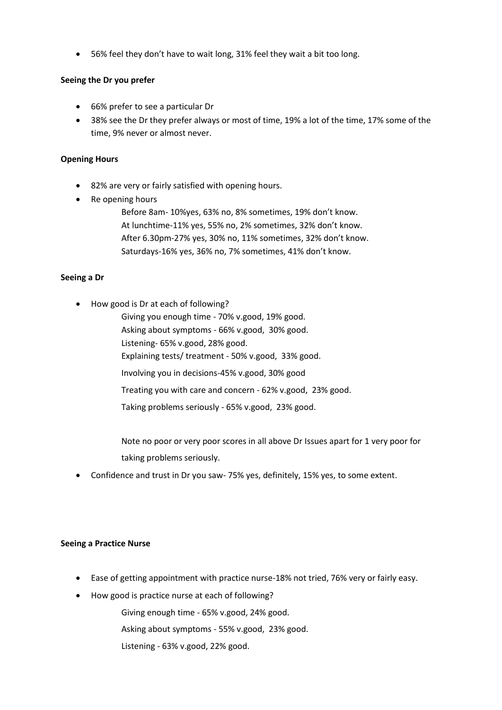56% feel they don't have to wait long, 31% feel they wait a bit too long.

#### **Seeing the Dr you prefer**

- 66% prefer to see a particular Dr
- 38% see the Dr they prefer always or most of time, 19% a lot of the time, 17% some of the time, 9% never or almost never.

#### **Opening Hours**

- 82% are very or fairly satisfied with opening hours.
- Re opening hours

Before 8am- 10%yes, 63% no, 8% sometimes, 19% don't know. At lunchtime-11% yes, 55% no, 2% sometimes, 32% don't know. After 6.30pm-27% yes, 30% no, 11% sometimes, 32% don't know. Saturdays-16% yes, 36% no, 7% sometimes, 41% don't know.

#### **Seeing a Dr**

How good is Dr at each of following?

Giving you enough time - 70% v.good, 19% good. Asking about symptoms - 66% v.good, 30% good. Listening- 65% v.good, 28% good. Explaining tests/ treatment - 50% v.good, 33% good. Involving you in decisions-45% v.good, 30% good Treating you with care and concern - 62% v.good, 23% good. Taking problems seriously - 65% v.good, 23% good.

Note no poor or very poor scores in all above Dr Issues apart for 1 very poor for taking problems seriously.

Confidence and trust in Dr you saw- 75% yes, definitely, 15% yes, to some extent.

#### **Seeing a Practice Nurse**

- Ease of getting appointment with practice nurse-18% not tried, 76% very or fairly easy.
- How good is practice nurse at each of following?

Giving enough time - 65% v.good, 24% good.

Asking about symptoms - 55% v.good, 23% good.

Listening - 63% v.good, 22% good.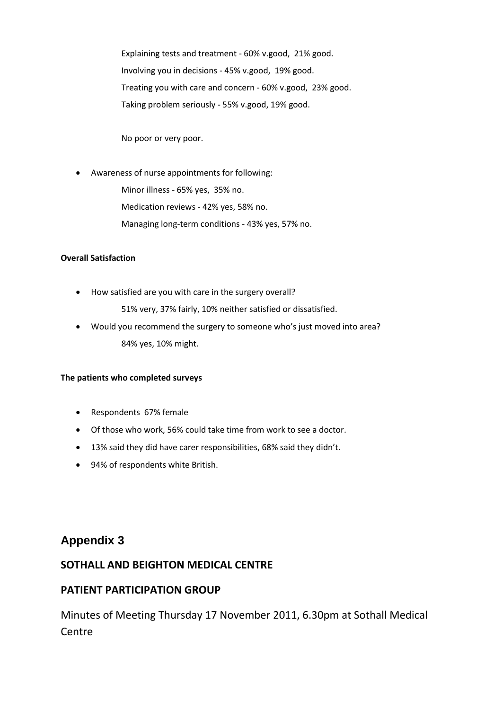Explaining tests and treatment - 60% v.good, 21% good. Involving you in decisions - 45% v.good, 19% good. Treating you with care and concern - 60% v.good, 23% good. Taking problem seriously - 55% v.good, 19% good.

No poor or very poor.

- Awareness of nurse appointments for following: Minor illness - 65% yes, 35% no. Medication reviews - 42% yes, 58% no.
	- Managing long-term conditions 43% yes, 57% no.

#### **Overall Satisfaction**

How satisfied are you with care in the surgery overall?

51% very, 37% fairly, 10% neither satisfied or dissatisfied.

 Would you recommend the surgery to someone who's just moved into area? 84% yes, 10% might.

#### **The patients who completed surveys**

- Respondents 67% female
- Of those who work, 56% could take time from work to see a doctor.
- 13% said they did have carer responsibilities, 68% said they didn't.
- 94% of respondents white British.

### **Appendix 3**

### **SOTHALL AND BEIGHTON MEDICAL CENTRE**

### **PATIENT PARTICIPATION GROUP**

Minutes of Meeting Thursday 17 November 2011, 6.30pm at Sothall Medical **Centre**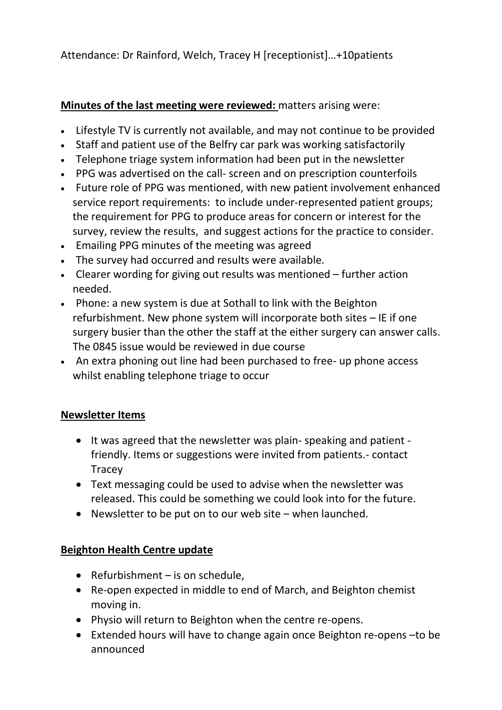Attendance: Dr Rainford, Welch, Tracey H [receptionist]…+10patients

## **Minutes of the last meeting were reviewed:** matters arising were:

- Lifestyle TV is currently not available, and may not continue to be provided
- Staff and patient use of the Belfry car park was working satisfactorily
- Telephone triage system information had been put in the newsletter
- PPG was advertised on the call- screen and on prescription counterfoils
- Future role of PPG was mentioned, with new patient involvement enhanced service report requirements: to include under-represented patient groups; the requirement for PPG to produce areas for concern or interest for the survey, review the results, and suggest actions for the practice to consider.
- Emailing PPG minutes of the meeting was agreed
- The survey had occurred and results were available.
- Clearer wording for giving out results was mentioned further action needed.
- Phone: a new system is due at Sothall to link with the Beighton refurbishment. New phone system will incorporate both sites – IE if one surgery busier than the other the staff at the either surgery can answer calls. The 0845 issue would be reviewed in due course
- An extra phoning out line had been purchased to free- up phone access whilst enabling telephone triage to occur

## **Newsletter Items**

- It was agreed that the newsletter was plain- speaking and patient friendly. Items or suggestions were invited from patients.- contact Tracey
- Text messaging could be used to advise when the newsletter was released. This could be something we could look into for the future.
- Newsletter to be put on to our web site when launched.

## **Beighton Health Centre update**

- Refurbishment  $-$  is on schedule,
- Re-open expected in middle to end of March, and Beighton chemist moving in.
- Physio will return to Beighton when the centre re-opens.
- Extended hours will have to change again once Beighton re-opens –to be announced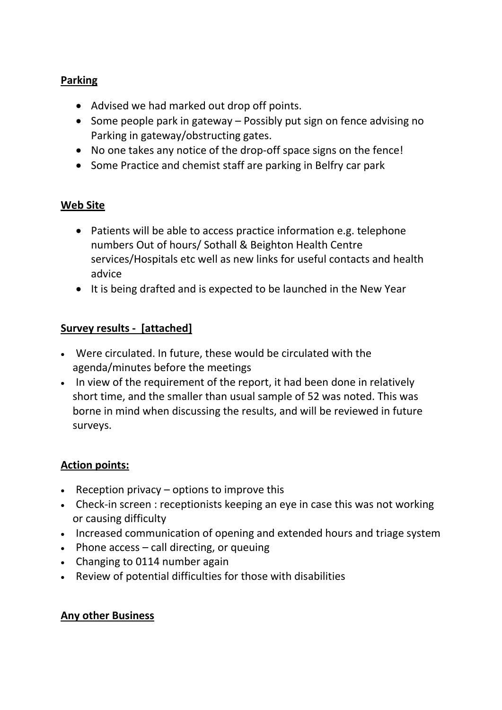## **Parking**

- Advised we had marked out drop off points.
- Some people park in gateway  $-$  Possibly put sign on fence advising no Parking in gateway/obstructing gates.
- No one takes any notice of the drop-off space signs on the fence!
- Some Practice and chemist staff are parking in Belfry car park

## **Web Site**

- Patients will be able to access practice information e.g. telephone numbers Out of hours/ Sothall & Beighton Health Centre services/Hospitals etc well as new links for useful contacts and health advice
- It is being drafted and is expected to be launched in the New Year

## **Survey results - [attached]**

- Were circulated. In future, these would be circulated with the agenda/minutes before the meetings
- In view of the requirement of the report, it had been done in relatively short time, and the smaller than usual sample of 52 was noted. This was borne in mind when discussing the results, and will be reviewed in future surveys.

## **Action points:**

- **•** Reception privacy  $-$  options to improve this
- Check-in screen : receptionists keeping an eye in case this was not working or causing difficulty
- Increased communication of opening and extended hours and triage system
- $\bullet$  Phone access call directing, or queuing
- Changing to 0114 number again
- Review of potential difficulties for those with disabilities

### **Any other Business**